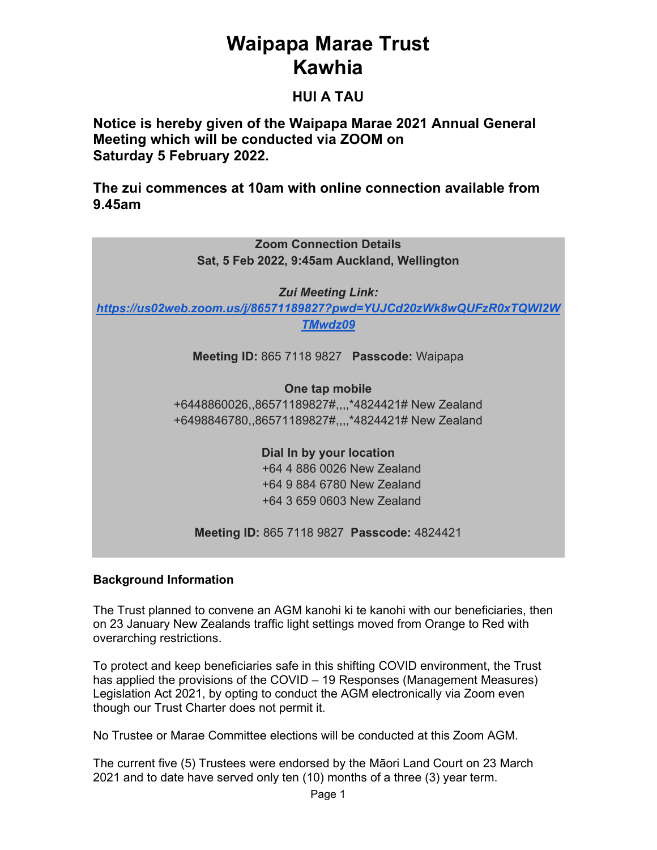## **Waipapa Marae Trust Kawhia**

## **HUI A TAU**

**Notice is hereby given of the Waipapa Marae 2021 Annual General Meeting which will be conducted via ZOOM on Saturday 5 February 2022.** 

**The zui commences at 10am with online connection available from 9.45am** 

| <b>Zoom Connection Details</b><br>Sat, 5 Feb 2022, 9:45am Auckland, Wellington |  |  |  |  |  |
|--------------------------------------------------------------------------------|--|--|--|--|--|
| <b>Zui Meeting Link:</b>                                                       |  |  |  |  |  |
| https://us02web.zoom.us/j/86571189827?pwd=YUJCd20zWk8wQUFzR0xTQWI2W            |  |  |  |  |  |
| <b>TMwdz09</b>                                                                 |  |  |  |  |  |
| Meeting ID: 865 7118 9827 Passcode: Waipapa                                    |  |  |  |  |  |
| One tap mobile                                                                 |  |  |  |  |  |
| +6448860026,,86571189827#,,,,*4824421# New Zealand                             |  |  |  |  |  |
| +6498846780,,86571189827#,,,,*4824421# New Zealand                             |  |  |  |  |  |
| Dial In by your location                                                       |  |  |  |  |  |
| +64 4 886 0026 New Zealand                                                     |  |  |  |  |  |
| +64 9 884 6780 New Zealand                                                     |  |  |  |  |  |
| +64 3 659 0603 New Zealand                                                     |  |  |  |  |  |
| Meeting ID: 865 7118 9827 Passcode: 4824421                                    |  |  |  |  |  |

### **Background Information**

The Trust planned to convene an AGM kanohi ki te kanohi with our beneficiaries, then on 23 January New Zealands traffic light settings moved from Orange to Red with overarching restrictions.

To protect and keep beneficiaries safe in this shifting COVID environment, the Trust has applied the provisions of the COVID – 19 Responses (Management Measures) Legislation Act 2021, by opting to conduct the AGM electronically via Zoom even though our Trust Charter does not permit it.

No Trustee or Marae Committee elections will be conducted at this Zoom AGM.

The current five (5) Trustees were endorsed by the Māori Land Court on 23 March 2021 and to date have served only ten (10) months of a three (3) year term.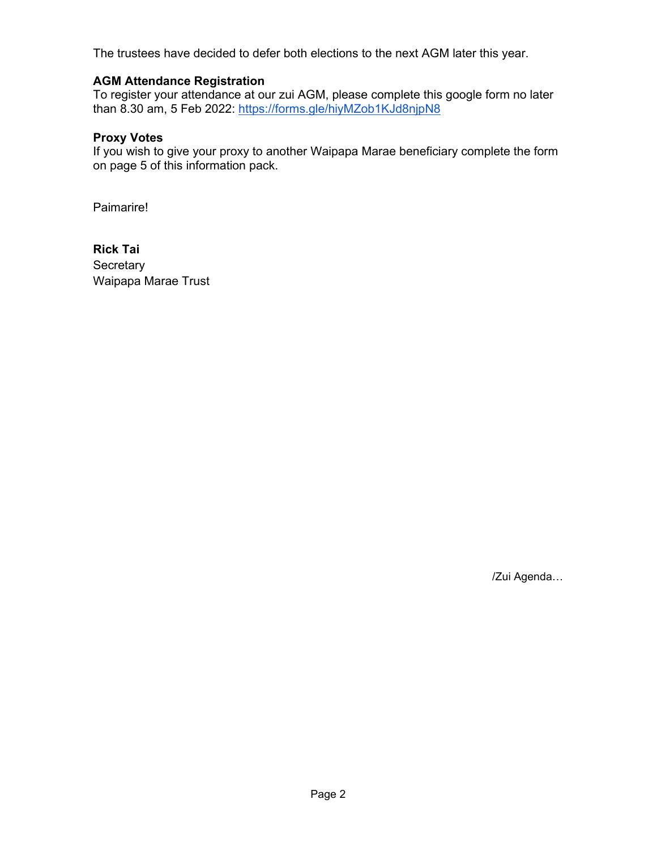The trustees have decided to defer both elections to the next AGM later this year.

#### **AGM Attendance Registration**

To register your attendance at our zui AGM, please complete this google form no later than 8.30 am, 5 Feb 2022: https://forms.gle/hiyMZob1KJd8njpN8

#### **Proxy Votes**

If you wish to give your proxy to another Waipapa Marae beneficiary complete the form on page 5 of this information pack.

Paimarire!

**Rick Tai Secretary** Waipapa Marae Trust

/Zui Agenda…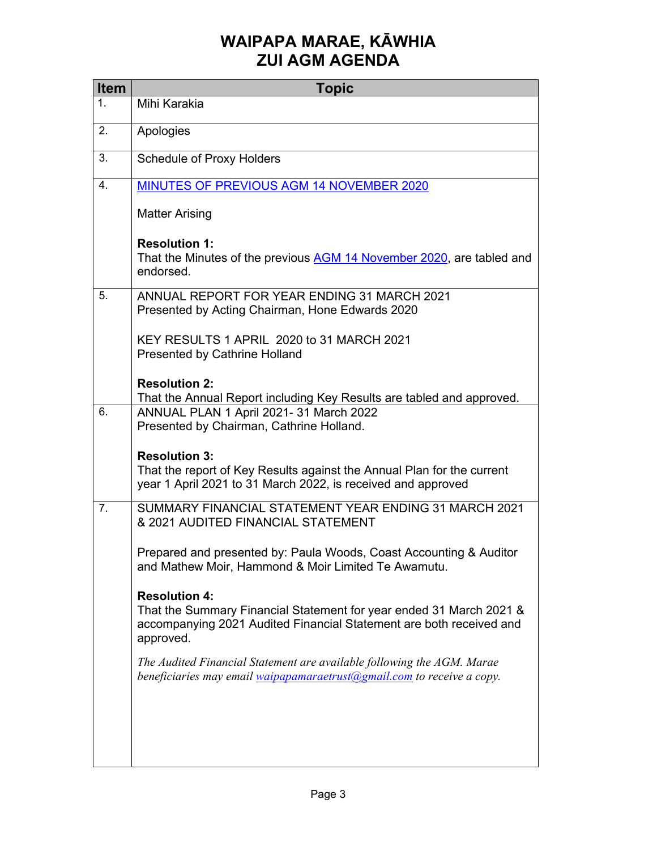## **WAIPAPA MARAE, KĀWHIA ZUI AGM AGENDA**

| <b>Item</b>    | <b>Topic</b>                                                                                                                                                                    |
|----------------|---------------------------------------------------------------------------------------------------------------------------------------------------------------------------------|
| 1.             | Mihi Karakia                                                                                                                                                                    |
| 2.             | Apologies                                                                                                                                                                       |
| 3.             | <b>Schedule of Proxy Holders</b>                                                                                                                                                |
| 4.             | MINUTES OF PREVIOUS AGM 14 NOVEMBER 2020                                                                                                                                        |
|                | <b>Matter Arising</b>                                                                                                                                                           |
|                | <b>Resolution 1:</b><br>That the Minutes of the previous AGM 14 November 2020, are tabled and<br>endorsed.                                                                      |
| 5.             | ANNUAL REPORT FOR YEAR ENDING 31 MARCH 2021<br>Presented by Acting Chairman, Hone Edwards 2020                                                                                  |
|                | KEY RESULTS 1 APRIL 2020 to 31 MARCH 2021<br><b>Presented by Cathrine Holland</b>                                                                                               |
|                | <b>Resolution 2:</b>                                                                                                                                                            |
| 6.             | That the Annual Report including Key Results are tabled and approved.<br>ANNUAL PLAN 1 April 2021- 31 March 2022<br>Presented by Chairman, Cathrine Holland.                    |
|                | <b>Resolution 3:</b><br>That the report of Key Results against the Annual Plan for the current<br>year 1 April 2021 to 31 March 2022, is received and approved                  |
| 7 <sub>1</sub> | SUMMARY FINANCIAL STATEMENT YEAR ENDING 31 MARCH 2021<br>& 2021 AUDITED FINANCIAL STATEMENT                                                                                     |
|                | Prepared and presented by: Paula Woods, Coast Accounting & Auditor<br>and Mathew Moir, Hammond & Moir Limited Te Awamutu.                                                       |
|                | <b>Resolution 4:</b><br>That the Summary Financial Statement for year ended 31 March 2021 &<br>accompanying 2021 Audited Financial Statement are both received and<br>approved. |
|                | The Audited Financial Statement are available following the AGM. Marae<br>beneficiaries may email waipapamaraetrust@gmail.com to receive a copy.                                |
|                |                                                                                                                                                                                 |
|                |                                                                                                                                                                                 |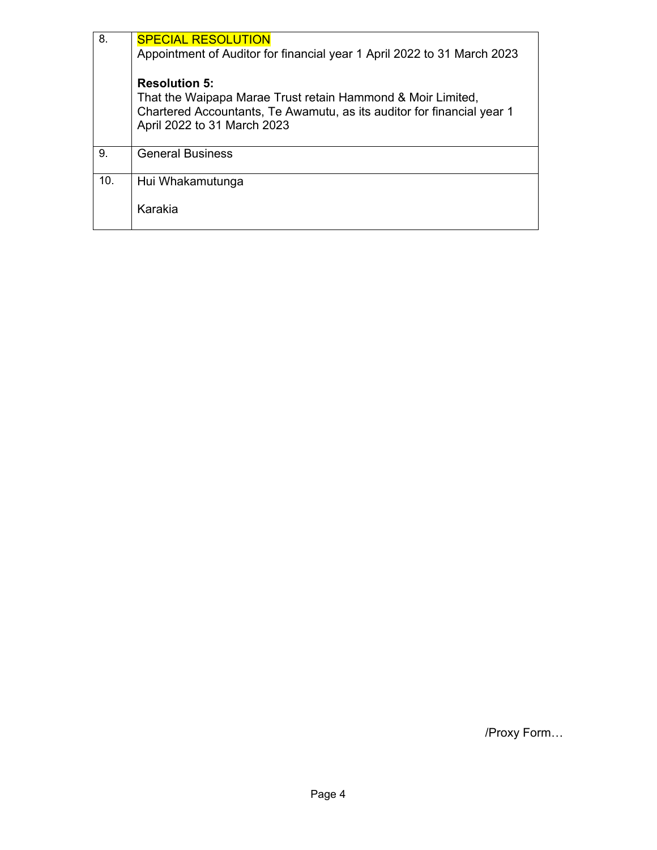| 8.  | <b>SPECIAL RESOLUTION</b>                                               |  |  |  |
|-----|-------------------------------------------------------------------------|--|--|--|
|     | Appointment of Auditor for financial year 1 April 2022 to 31 March 2023 |  |  |  |
|     | <b>Resolution 5:</b>                                                    |  |  |  |
|     | That the Waipapa Marae Trust retain Hammond & Moir Limited,             |  |  |  |
|     | Chartered Accountants, Te Awamutu, as its auditor for financial year 1  |  |  |  |
|     | April 2022 to 31 March 2023                                             |  |  |  |
| 9.  | <b>General Business</b>                                                 |  |  |  |
| 10. | Hui Whakamutunga                                                        |  |  |  |
|     | Karakia                                                                 |  |  |  |

/Proxy Form…